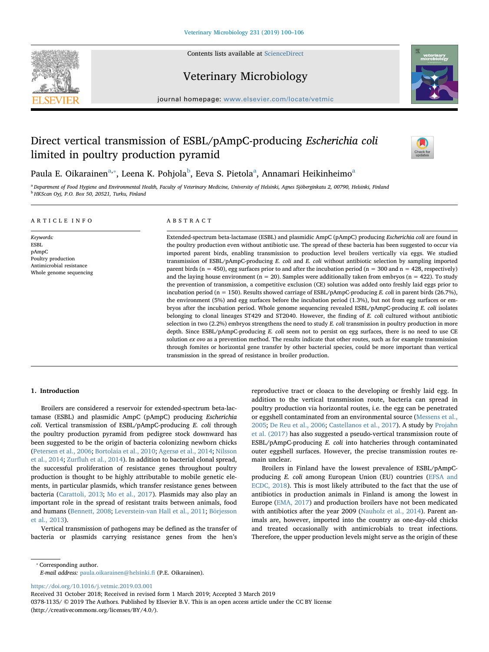

Contents lists available at [ScienceDirect](http://www.sciencedirect.com/science/journal/03781135)

# Veterinary Microbiology



journal homepage: [www.elsevier.com/locate/vetmic](https://www.elsevier.com/locate/vetmic)

# Direct vertical transmission of ESBL/pAmpC-producing Escherichia coli limited in poultry production pyramid



Paula E. Oikarainen<sup>[a,](#page-0-0)</sup>\*, Leena K. Pohjola<sup>[b](#page-0-2)</sup>, Eev[a](#page-0-0) S. Pietola<sup>a</sup>, Annamari Heikinheimo<sup>a</sup>

<span id="page-0-2"></span><span id="page-0-0"></span>a Department of Food Hygiene and Environmental Health, Faculty of Veterinary Medicine, University of Helsinki, Agnes Sjöberginkatu 2, 00790, Helsinki, Finland **b HKScan Oyj, P.O. Box 50, 20521, Turku, Finland** 

# ARTICLE INFO

Keywords: ESBL pAmpC Poultry production Antimicrobial resistance Whole genome sequencing

# ABSTRACT

Extended-spectrum beta-lactamase (ESBL) and plasmidic AmpC (pAmpC) producing Escherichia coli are found in the poultry production even without antibiotic use. The spread of these bacteria has been suggested to occur via imported parent birds, enabling transmission to production level broilers vertically via eggs. We studied transmission of ESBL/pAmpC-producing E. coli and E. coli without antibiotic selection by sampling imported parent birds ( $n = 450$ ), egg surfaces prior to and after the incubation period ( $n = 300$  and  $n = 428$ , respectively) and the laying house environment ( $n = 20$ ). Samples were additionally taken from embryos ( $n = 422$ ). To study the prevention of transmission, a competitive exclusion (CE) solution was added onto freshly laid eggs prior to incubation period (n = 150). Results showed carriage of ESBL/pAmpC-producing E. coli in parent birds (26.7%), the environment (5%) and egg surfaces before the incubation period (1.3%), but not from egg surfaces or embryos after the incubation period. Whole genome sequencing revealed ESBL/pAmpC-producing E. coli isolates belonging to clonal lineages ST429 and ST2040. However, the finding of E. coli cultured without antibiotic selection in two  $(2.2%)$  embryos strengthens the need to study E. coli transmission in poultry production in more depth. Since ESBL/pAmpC-producing E. coli seem not to persist on egg surfaces, there is no need to use CE solution ex ovo as a prevention method. The results indicate that other routes, such as for example transmission through fomites or horizontal gene transfer by other bacterial species, could be more important than vertical transmission in the spread of resistance in broiler production.

# 1. Introduction

Broilers are considered a reservoir for extended-spectrum beta-lactamase (ESBL) and plasmidic AmpC (pAmpC) producing Escherichia coli. Vertical transmission of ESBL/pAmpC-producing E. coli through the poultry production pyramid from pedigree stock downward has been suggested to be the origin of bacteria colonizing newborn chicks ([Petersen et al., 2006;](#page-6-0) [Bortolaia et al., 2010](#page-5-0); [Agersø et al., 2014;](#page-5-1) [Nilsson](#page-6-1) [et al., 2014](#page-6-1); Zurfl[uh et al., 2014\)](#page-6-2). In addition to bacterial clonal spread, the successful proliferation of resistance genes throughout poultry production is thought to be highly attributable to mobile genetic elements, in particular plasmids, which transfer resistance genes between bacteria ([Carattoli, 2013;](#page-5-2) [Mo et al., 2017\)](#page-6-3). Plasmids may also play an important role in the spread of resistant traits between animals, food and humans ([Bennett, 2008](#page-5-3); [Leverstein-van Hall et al., 2011](#page-6-4); [Börjesson](#page-5-4) [et al., 2013](#page-5-4)).

Vertical transmission of pathogens may be defined as the transfer of bacteria or plasmids carrying resistance genes from the hen's

reproductive tract or cloaca to the developing or freshly laid egg. In addition to the vertical transmission route, bacteria can spread in poultry production via horizontal routes, i.e. the egg can be penetrated or eggshell contaminated from an environmental source [\(Messens et al.,](#page-6-5) [2005;](#page-6-5) [De Reu et al., 2006;](#page-5-5) [Castellanos et al., 2017\)](#page-5-6). A study by [Projahn](#page-6-6) [et al. \(2017\)](#page-6-6) has also suggested a pseudo-vertical transmission route of ESBL/pAmpC-producing E. coli into hatcheries through contaminated outer eggshell surfaces. However, the precise transmission routes remain unclear.

Broilers in Finland have the lowest prevalence of ESBL/pAmpCproducing E. coli among European Union (EU) countries [\(EFSA and](#page-5-7) [ECDC, 2018\)](#page-5-7). This is most likely attributed to the fact that the use of antibiotics in production animals in Finland is among the lowest in Europe [\(EMA, 2017\)](#page-5-8) and production broilers have not been medicated with antibiotics after the year 2009 ([Nauholz et al., 2014\)](#page-6-7). Parent animals are, however, imported into the country as one-day-old chicks and treated occasionally with antimicrobials to treat infections. Therefore, the upper production levels might serve as the origin of these

<span id="page-0-1"></span>⁎ Corresponding author.

E-mail address: [paula.oikarainen@helsinki.](mailto:paula.oikarainen@helsinki.fi)fi (P.E. Oikarainen).

<https://doi.org/10.1016/j.vetmic.2019.03.001>

Received 31 October 2018; Received in revised form 1 March 2019; Accepted 3 March 2019

0378-1135/ © 2019 The Authors. Published by Elsevier B.V. This is an open access article under the CC BY license (http://creativecommons.org/licenses/BY/4.0/).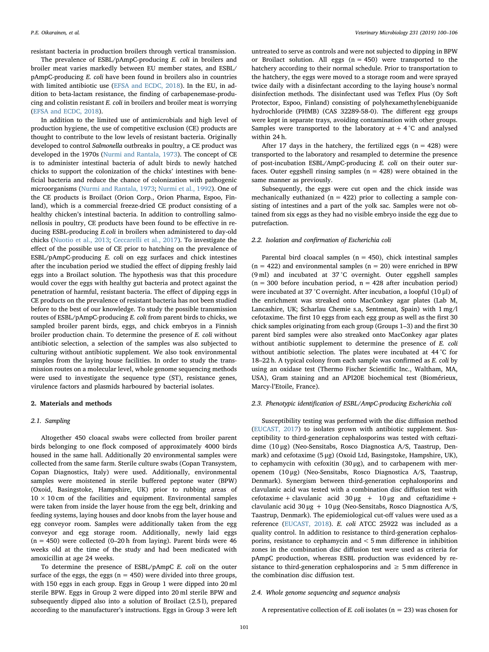resistant bacteria in production broilers through vertical transmission.

The prevalence of ESBL/pAmpC-producing E. coli in broilers and broiler meat varies markedly between EU member states, and ESBL/ pAmpC-producing E. coli have been found in broilers also in countries with limited antibiotic use ([EFSA and ECDC, 2018\)](#page-5-7). In the EU, in addition to beta-lactam resistance, the finding of carbapenemase-producing and colistin resistant  $E.$  coli in broilers and broiler meat is worrying ([EFSA and ECDC, 2018](#page-5-7)).

In addition to the limited use of antimicrobials and high level of production hygiene, the use of competitive exclusion (CE) products are thought to contribute to the low levels of resistant bacteria. Originally developed to control Salmonella outbreaks in poultry, a CE product was developed in the 1970s ([Nurmi and Rantala, 1973](#page-6-8)). The concept of CE is to administer intestinal bacteria of adult birds to newly hatched chicks to support the colonization of the chicks' intestines with beneficial bacteria and reduce the chance of colonization with pathogenic microorganisms ([Nurmi and Rantala, 1973;](#page-6-8) [Nurmi et al., 1992\)](#page-6-9). One of the CE products is Broilact (Orion Corp., Orion Pharma, Espoo, Finland), which is a commercial freeze-dried CE product consisting of a healthy chicken's intestinal bacteria. In addition to controlling salmonellosis in poultry, CE products have been found to be effective in reducing ESBL-producing E.coli in broilers when administered to day-old chicks [\(Nuotio et al., 2013](#page-6-10); [Ceccarelli et al., 2017\)](#page-5-9). To investigate the effect of the possible use of CE prior to hatching on the prevalence of ESBL/pAmpC-producing E. coli on egg surfaces and chick intestines after the incubation period we studied the effect of dipping freshly laid eggs into a Broilact solution. The hypothesis was that this procedure would cover the eggs with healthy gut bacteria and protect against the penetration of harmful, resistant bacteria. The effect of dipping eggs in CE products on the prevalence of resistant bacteria has not been studied before to the best of our knowledge. To study the possible transmission routes of ESBL/pAmpC-producing E. coli from parent birds to chicks, we sampled broiler parent birds, eggs, and chick embryos in a Finnish broiler production chain. To determine the presence of E. coli without antibiotic selection, a selection of the samples was also subjected to culturing without antibiotic supplement. We also took environmental samples from the laying house facilities. In order to study the transmission routes on a molecular level, whole genome sequencing methods were used to investigate the sequence type (ST), resistance genes, virulence factors and plasmids harboured by bacterial isolates.

#### 2. Materials and methods

#### 2.1. Sampling

Altogether 450 cloacal swabs were collected from broiler parent birds belonging to one flock composed of approximately 4000 birds housed in the same hall. Additionally 20 environmental samples were collected from the same farm. Sterile culture swabs (Copan Transystem, Copan Diagnostics, Italy) were used. Additionally, environmental samples were moistened in sterile buffered peptone water (BPW) (Oxoid, Basingstoke, Hampshire, UK) prior to rubbing areas of  $10 \times 10$  cm of the facilities and equipment. Environmental samples were taken from inside the layer house from the egg belt, drinking and feeding systems, laying houses and door knobs from the layer house and egg conveyor room. Samples were additionally taken from the egg conveyor and egg storage room. Additionally, newly laid eggs  $(n = 450)$  were collected  $(0-20 h)$  from laying). Parent birds were 46 weeks old at the time of the study and had been medicated with amoxicillin at age 24 weeks.

To determine the presence of ESBL/pAmpC E. coli on the outer surface of the eggs, the eggs ( $n = 450$ ) were divided into three groups, with 150 eggs in each group. Eggs in Group 1 were dipped into 20 ml sterile BPW. Eggs in Group 2 were dipped into 20 ml sterile BPW and subsequently dipped also into a solution of Broilact (2.5 l), prepared according to the manufacturer's instructions. Eggs in Group 3 were left untreated to serve as controls and were not subjected to dipping in BPW or Broilact solution. All eggs  $(n = 450)$  were transported to the hatchery according to their normal schedule. Prior to transportation to the hatchery, the eggs were moved to a storage room and were sprayed twice daily with a disinfectant according to the laying house's normal disinfection methods. The disinfectant used was Teflex Plus (Oy Soft Protector, Espoo, Finland) consisting of polyhexamethylenebiguanide hydrochloride (PHMB) (CAS 32289-58-0). The different egg groups were kept in separate trays, avoiding contamination with other groups. Samples were transported to the laboratory at  $+ 4$  °C and analysed within 24 h.

After 17 days in the hatchery, the fertilized eggs ( $n = 428$ ) were transported to the laboratory and resampled to determine the presence of post-incubation ESBL/AmpC-producing E. coli on their outer surfaces. Outer eggshell rinsing samples ( $n = 428$ ) were obtained in the same manner as previously.

Subsequently, the eggs were cut open and the chick inside was mechanically euthanized ( $n = 422$ ) prior to collecting a sample consisting of intestines and a part of the yolk sac. Samples were not obtained from six eggs as they had no visible embryo inside the egg due to putrefaction.

# 2.2. Isolation and confirmation of Escherichia coli

Parental bird cloacal samples ( $n = 450$ ), chick intestinal samples  $(n = 422)$  and environmental samples  $(n = 20)$  were enriched in BPW (9 ml) and incubated at 37 °C overnight. Outer eggshell samples  $(n = 300)$  before incubation period,  $n = 428$  after incubation period) were incubated at 37 °C overnight. After incubation, a loopful (10 μl) of the enrichment was streaked onto MacConkey agar plates (Lab M, Lancashire, UK; Scharlau Chemie s.a, Sentmenat, Spain) with 1 mg/l cefotaxime. The first 10 eggs from each egg group as well as the first 30 chick samples originating from each group (Groups 1–3) and the first 30 parent bird samples were also streaked onto MacConkey agar plates without antibiotic supplement to determine the presence of E. coli without antibiotic selection. The plates were incubated at 44 °C for 18–22 h. A typical colony from each sample was confirmed as E. coli by using an oxidase test (Thermo Fischer Scientific Inc., Waltham, MA, USA), Gram staining and an API20E biochemical test (Biomérieux, Marcy-l'Etoile, France).

#### 2.3. Phenotypic identification of ESBL/AmpC-producing Escherichia coli

Susceptibility testing was performed with the disc diffusion method ([EUCAST, 2017](#page-5-10)) to isolates grown with antibiotic supplement. Susceptibility to third-generation cephalosporins was tested with ceftazidime (10 μg) (Neo-Sensitabs, Rosco Diagnostica A/S, Taastrup, Denmark) and cefotaxime (5 μg) (Oxoid Ltd, Basingstoke, Hampshire, UK), to cephamycin with cefoxitin (30 μg), and to carbapenem with meropenem (10 μg) (Neo-Sensitabs, Rosco Diagnostica A/S, Taastrup, Denmark). Synergism between third-generation cephalosporins and clavulanic acid was tested with a combination disc diffusion test with cefotaxime + clavulanic acid  $30 \mu g$  +  $10 \mu g$  and ceftazidime + clavulanic acid 30 μg + 10 μg (Neo-Sensitabs, Rosco Diagnostica A/S, Taastrup, Denmark). The epidemiological cut-off values were used as a reference ([EUCAST, 2018\)](#page-5-11). E. coli ATCC 25922 was included as a quality control. In addition to resistance to third-generation cephalosporins, resistance to cephamycin and < 5 mm difference in inhibition zones in the combination disc diffusion test were used as criteria for pAmpC production, whereas ESBL production was evidenced by resistance to third-generation cephalosporins and  $\geq$  5 mm difference in the combination disc diffusion test.

#### 2.4. Whole genome sequencing and sequence analysis

A representative collection of E. coli isolates ( $n = 23$ ) was chosen for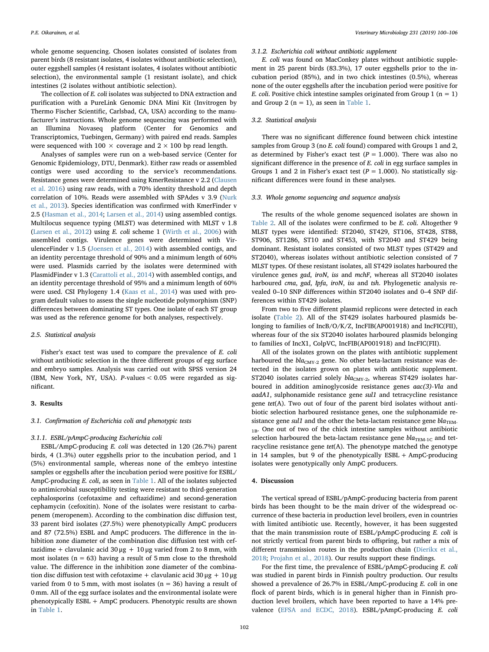whole genome sequencing. Chosen isolates consisted of isolates from parent birds (8 resistant isolates, 4 isolates without antibiotic selection), outer eggshell samples (4 resistant isolates, 4 isolates without antibiotic selection), the environmental sample (1 resistant isolate), and chick intestines (2 isolates without antibiotic selection).

The collection of E. coli isolates was subjected to DNA extraction and purification with a PureLink Genomic DNA Mini Kit (Invitrogen by Thermo Fischer Scientific, Carlsbad, CA, USA) according to the manufacturer's instructions. Whole genome sequencing was performed with an Illumina Novaseq platform (Center for Genomics and Transcriptomics, Tuebingen, Germany) with paired end reads. Samples were sequenced with 100  $\times$  coverage and 2  $\times$  100 bp read length.

Analyses of samples were run on a web-based service (Center for Genomic Epidemiology, DTU, Denmark). Either raw reads or assembled contigs were used according to the service's recommendations. Resistance genes were determined using KmerResistance v 2.2 [\(Clausen](#page-5-12) [et al. 2016](#page-5-12)) using raw reads, with a 70% identity threshold and depth correlation of 10%. Reads were assembled with SPAdes v 3.9 ([Nurk](#page-6-11) [et al., 2013\)](#page-6-11). Species identification was confirmed with KmerFinder v 2.5 [\(Hasman et al., 2014;](#page-6-12) [Larsen et al., 2014\)](#page-6-13) using assembled contigs. Multilocus sequence typing (MLST) was determined with MLST v 1.8 ([Larsen et al., 2012\)](#page-6-14) using E. coli scheme 1 [\(Wirth et al., 2006\)](#page-6-15) with assembled contigs. Virulence genes were determined with VirulenceFinder v 1.5 [\(Joensen et al., 2014](#page-6-16)) with assembled contigs, and an identity percentage threshold of 90% and a minimum length of 60% were used. Plasmids carried by the isolates were determined with PlasmidFinder v 1.3 ([Carattoli et al., 2014](#page-5-13)) with assembled contigs, and an identity percentage threshold of 95% and a minimum length of 60% were used. CSI Phylogeny 1.4 ([Kaas et al., 2014](#page-6-17)) was used with program default values to assess the single nucleotide polymorphism (SNP) differences between dominating ST types. One isolate of each ST group was used as the reference genome for both analyses, respectively.

# 2.5. Statistical analysis

Fisher's exact test was used to compare the prevalence of E. coli without antibiotic selection in the three different groups of egg surface and embryo samples. Analysis was carried out with SPSS version 24 (IBM, New York, NY, USA). P-values < 0.05 were regarded as significant.

#### 3. Results

#### 3.1. Confirmation of Escherichia coli and phenotypic tests

# 3.1.1. ESBL/pAmpC-producing Escherichia coli

ESBL/AmpC-producing E. coli was detected in 120 (26.7%) parent birds, 4 (1.3%) outer eggshells prior to the incubation period, and 1 (5%) environmental sample, whereas none of the embryo intestine samples or eggshells after the incubation period were positive for ESBL/ AmpC-producing E. coli, as seen in [Table 1.](#page-3-0) All of the isolates subjected to antimicrobial susceptibility testing were resistant to third-generation cephalosporins (cefotaxime and ceftazidime) and second-generation cephamycin (cefoxitin). None of the isolates were resistant to carbapenem (meropenem). According to the combination disc diffusion test, 33 parent bird isolates (27.5%) were phenotypically AmpC producers and 87 (72.5%) ESBL and AmpC producers. The difference in the inhibition zone diameter of the combination disc diffusion test with ceftazidime + clavulanic acid 30 μg + 10 μg varied from 2 to 8 mm, with most isolates ( $n = 63$ ) having a result of 5 mm close to the threshold value. The difference in the inhibition zone diameter of the combination disc diffusion test with cefotaxime + clavulanic acid 30 μg + 10 μg varied from 0 to 5 mm, with most isolates ( $n = 36$ ) having a result of 0 mm. All of the egg surface isolates and the environmental isolate were phenotypically ESBL + AmpC producers. Phenotypic results are shown in [Table 1.](#page-3-0)

#### 3.1.2. Escherichia coli without antibiotic supplement

E. coli was found on MacConkey plates without antibiotic supplement in 25 parent birds (83.3%), 17 outer eggshells prior to the incubation period (85%), and in two chick intestines (0.5%), whereas none of the outer eggshells after the incubation period were positive for *E. coli.* Positive chick intestine samples originated from Group 1 ( $n = 1$ ) and Group 2 ( $n = 1$ ), as seen in [Table 1](#page-3-0).

# 3.2. Statistical analysis

There was no significant difference found between chick intestine samples from Group 3 (no E. coli found) compared with Groups 1 and 2. as determined by Fisher's exact test ( $P = 1.000$ ). There was also no significant difference in the presence of E. coli in egg surface samples in Groups 1 and 2 in Fisher's exact test ( $P = 1.000$ ). No statistically significant differences were found in these analyses.

## 3.3. Whole genome sequencing and sequence analysis

The results of the whole genome sequenced isolates are shown in [Table 2.](#page-4-0) All of the isolates were confirmed to be E. coli. Altogether 9 MLST types were identified: ST2040, ST429, ST106, ST428, ST88, ST906, ST1286, ST10 and ST453, with ST2040 and ST429 being dominant. Resistant isolates consisted of two MLST types (ST429 and ST2040), whereas isolates without antibiotic selection consisted of 7 MLST types. Of these resistant isolates, all ST429 isolates harboured the virulence genes gad, iroN, iss and mchF, whereas all ST2040 isolates harboured cma, gad, Ipfa, iroN, iss and tsh. Phylogenetic analysis revealed 0–10 SNP differences within ST2040 isolates and 0–4 SNP differences within ST429 isolates.

From two to five different plasmid replicons were detected in each isolate ([Table 2\)](#page-4-0). All of the ST429 isolates harboured plasmids belonging to families of IncB/O/K/Z, IncFIB(AP001918) and IncFIC(FII), whereas four of the six ST2040 isolates harboured plasmids belonging to families of IncX1, ColpVC, IncFIB(AP001918) and IncFIC(FII).

All of the isolates grown on the plates with antibiotic supplement harboured the  $bla_{CMY-2}$  gene. No other beta-lactam resistance was detected in the isolates grown on plates with antibiotic supplement. ST2040 isolates carried solely  $bla_{CMY-2}$ , whereas ST429 isolates harboured in addition aminoglycoside resistance genes aac(3)-Vla and aadA1, sulphonamide resistance gene sul1 and tetracycline resistance gene tet(A). Two out of four of the parent bird isolates without antibiotic selection harboured resistance genes, one the sulphonamide resistance gene sul1 and the other the beta-lactam resistance gene  $bla_{\text{TEM}}$ . <sub>1B</sub>. One out of two of the chick intestine samples without antibiotic selection harboured the beta-lactam resistance gene  $bla_{\text{TEM-1C}}$  and tetracycline resistance gene  $tet(A)$ . The phenotype matched the genotype in 14 samples, but 9 of the phenotypically ESBL + AmpC-producing isolates were genotypically only AmpC producers.

## 4. Discussion

The vertical spread of ESBL/pAmpC-producing bacteria from parent birds has been thought to be the main driver of the widespread occurrence of these bacteria in production level broilers, even in countries with limited antibiotic use. Recently, however, it has been suggested that the main transmission route of ESBL/pAmpC-producing E. coli is not strictly vertical from parent birds to offspring, but rather a mix of different transmission routes in the production chain [\(Dierikx et al.,](#page-5-14) [2018;](#page-5-14) [Projahn et al., 2018](#page-6-18)). Our results support these findings.

For the first time, the prevalence of ESBL/pAmpC-producing E. coli was studied in parent birds in Finnish poultry production. Our results showed a prevalence of 26.7% in ESBL/AmpC-producing E. coli in one flock of parent birds, which is in general higher than in Finnish production level broilers, which have been reported to have a 14% prevalence ([EFSA and ECDC, 2018\)](#page-5-7). ESBL/pAmpC-producing E. coli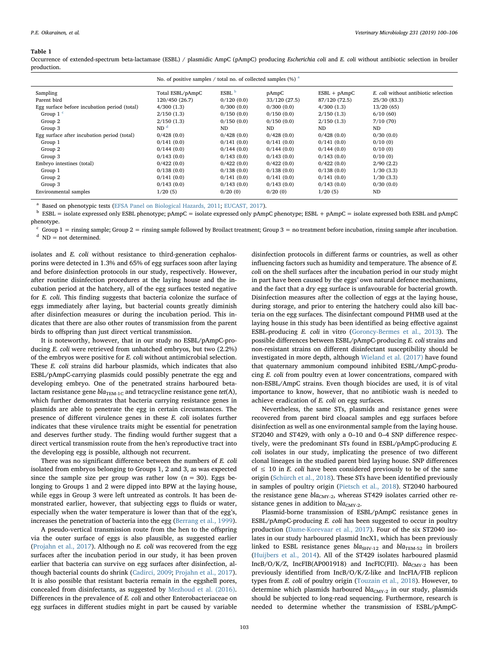#### <span id="page-3-0"></span>Table 1

Occurrence of extended-spectrum beta-lactamase (ESBL) / plasmidic AmpC (pAmpC) producing Escherichia coli and E. coli without antibiotic selection in broiler production.

|                                              | No. of positive samples / total no. of collected samples $(\%)$ <sup>a</sup> |                   |              |                |                                      |  |  |  |  |  |  |  |  |  |
|----------------------------------------------|------------------------------------------------------------------------------|-------------------|--------------|----------------|--------------------------------------|--|--|--|--|--|--|--|--|--|
| Sampling                                     | Total ESBL/pAmpC                                                             | ESBL <sup>b</sup> | pAmpC        | $ESBL + pAmpC$ | E. coli without antibiotic selection |  |  |  |  |  |  |  |  |  |
| Parent bird                                  | 120/450 (26.7)                                                               | 0/120(0.0)        | 33/120(27.5) | 87/120 (72.5)  | 25/30 (83.3)                         |  |  |  |  |  |  |  |  |  |
| Egg surface before incubation period (total) | 4/300(1.3)                                                                   | 0/300(0.0)        | 0/300(0.0)   | 4/300(1.3)     | 13/20(65)                            |  |  |  |  |  |  |  |  |  |
| Group $1o$                                   | 2/150(1.3)                                                                   | 0/150(0.0)        | 0/150(0.0)   | 2/150(1.3)     | 6/10(60)                             |  |  |  |  |  |  |  |  |  |
| Group 2                                      | 2/150(1.3)                                                                   | 0/150(0.0)        | 0/150(0.0)   | 2/150(1.3)     | 7/10(70)                             |  |  |  |  |  |  |  |  |  |
| Group 3                                      | ND <sup>d</sup>                                                              | ND                | <b>ND</b>    | ND.            | <b>ND</b>                            |  |  |  |  |  |  |  |  |  |
| Egg surface after incubation period (total)  | 0/428(0.0)                                                                   | 0/428(0.0)        | 0/428(0.0)   | 0/428(0.0)     | 0/30(0.0)                            |  |  |  |  |  |  |  |  |  |
| Group 1                                      | 0/141(0.0)                                                                   | 0/141(0.0)        | 0/141(0.0)   | 0/141(0.0)     | 0/10(0)                              |  |  |  |  |  |  |  |  |  |
| Group 2                                      | 0/144(0.0)                                                                   | 0/144(0.0)        | 0/144(0.0)   | 0/144(0.0)     | 0/10(0)                              |  |  |  |  |  |  |  |  |  |
| Group 3                                      | 0/143(0.0)                                                                   | 0/143(0.0)        | 0/143(0.0)   | 0/143(0.0)     | 0/10(0)                              |  |  |  |  |  |  |  |  |  |
| Embryo intestines (total)                    | 0/422(0.0)                                                                   | 0/422(0.0)        | 0/422(0.0)   | 0/422(0.0)     | 2/90(2.2)                            |  |  |  |  |  |  |  |  |  |
| Group 1                                      | 0/138(0.0)                                                                   | 0/138(0.0)        | 0/138(0.0)   | 0/138(0.0)     | 1/30(3.3)                            |  |  |  |  |  |  |  |  |  |
| Group 2                                      | 0/141(0.0)                                                                   | 0/141(0.0)        | 0/141(0.0)   | 0/141(0.0)     | 1/30(3.3)                            |  |  |  |  |  |  |  |  |  |
| Group 3                                      | 0/143(0.0)                                                                   | 0/143(0.0)        | 0/143(0.0)   | 0/143(0.0)     | 0/30(0.0)                            |  |  |  |  |  |  |  |  |  |
| Environmental samples                        | 1/20(5)                                                                      | 0/20(0)           | 0/20(0)      | 1/20(5)        | <b>ND</b>                            |  |  |  |  |  |  |  |  |  |

<span id="page-3-1"></span>Based on phenotypic tests [\(EFSA Panel on Biological Hazards, 2011;](#page-5-19) [EUCAST, 2017](#page-5-10)).

<span id="page-3-2"></span><sup>b</sup> ESBL = isolate expressed only ESBL phenotype; pAmpC = isolate expressed only pAmpC phenotype; ESBL + pAmpC = isolate expressed both ESBL and pAmpC phenotype.

<span id="page-3-3"></span> $c$  Group 1 = rinsing sample; Group 2 = rinsing sample followed by Broilact treatment; Group 3 = no treatment before incubation, rinsing sample after incubation.

<span id="page-3-4"></span> $d$  ND = not determined.

isolates and E. coli without resistance to third-generation cephalosporins were detected in 1.3% and 65% of egg surfaces soon after laying and before disinfection protocols in our study, respectively. However, after routine disinfection procedures at the laying house and the incubation period at the hatchery, all of the egg surfaces tested negative for E. coli. This finding suggests that bacteria colonize the surface of eggs immediately after laying, but bacterial counts greatly diminish after disinfection measures or during the incubation period. This indicates that there are also other routes of transmission from the parent birds to offspring than just direct vertical transmission.

It is noteworthy, however, that in our study no ESBL/pAmpC-producing E. coli were retrieved from unhatched embryos, but two (2.2%) of the embryos were positive for E. coli without antimicrobial selection. These E. coli strains did harbour plasmids, which indicates that also ESBL/pAmpC-carrying plasmids could possibly penetrate the egg and developing embryo. One of the penetrated strains harboured betalactam resistance gene  $bla_{\text{TEM-1C}}$  and tetracycline resistance gene tet(A), which further demonstrates that bacteria carrying resistance genes in plasmids are able to penetrate the egg in certain circumstances. The presence of different virulence genes in these E. coli isolates further indicates that these virulence traits might be essential for penetration and deserves further study. The finding would further suggest that a direct vertical transmission route from the hen's reproductive tract into the developing egg is possible, although not recurrent.

There was no significant difference between the numbers of E. coli isolated from embryos belonging to Groups 1, 2 and 3, as was expected since the sample size per group was rather low  $(n = 30)$ . Eggs belonging to Groups 1 and 2 were dipped into BPW at the laying house, while eggs in Group 3 were left untreated as controls. It has been demonstrated earlier, however, that subjecting eggs to fluids or water, especially when the water temperature is lower than that of the egg's, increases the penetration of bacteria into the egg ([Berrang et al., 1999](#page-5-15)).

A pseudo-vertical transmission route from the hen to the offspring via the outer surface of eggs is also plausible, as suggested earlier ([Projahn et al., 2017](#page-6-6)). Although no E. coli was recovered from the egg surfaces after the incubation period in our study, it has been proven earlier that bacteria can survive on egg surfaces after disinfection, although bacterial counts do shrink ([Cadirci, 2009](#page-5-16); [Projahn et al., 2017](#page-6-6)). It is also possible that resistant bacteria remain in the eggshell pores, concealed from disinfectants, as suggested by [Mezhoud et al. \(2016\)](#page-6-19). Differences in the prevalence of E. coli and other Enterobacteriaceae on egg surfaces in different studies might in part be caused by variable disinfection protocols in different farms or countries, as well as other influencing factors such as humidity and temperature. The absence of E. coli on the shell surfaces after the incubation period in our study might in part have been caused by the eggs' own natural defence mechanisms, and the fact that a dry egg surface is unfavourable for bacterial growth. Disinfection measures after the collection of eggs at the laying house, during storage, and prior to entering the hatchery could also kill bacteria on the egg surfaces. The disinfectant compound PHMB used at the laying house in this study has been identified as being effective against ESBL-producing E. coli in vitro ([Goroncy-Bermes et al., 2013\)](#page-5-17). The possible differences between ESBL/pAmpC-producing E. coli strains and non-resistant strains on different disinfectant susceptibility should be investigated in more depth, although [Wieland et al. \(2017\)](#page-6-20) have found that quaternary ammonium compound inhibited ESBL/AmpC-producing E. coli from poultry even at lower concentrations, compared with non-ESBL/AmpC strains. Even though biocides are used, it is of vital importance to know, however, that no antibiotic wash is needed to achieve eradication of E. coli on egg surfaces.

Nevertheless, the same STs, plasmids and resistance genes were recovered from parent bird cloacal samples and egg surfaces before disinfection as well as one environmental sample from the laying house. ST2040 and ST429, with only a 0–10 and 0–4 SNP difference respectively, were the predominant STs found in ESBL/pAmpC-producing E. coli isolates in our study, implicating the presence of two different clonal lineages in the studied parent bird laying house. SNP differences of  $\leq 10$  in E. coli have been considered previously to be of the same origin ([Schürch et al., 2018\)](#page-6-21). These STs have been identified previously in samples of poultry origin [\(Pietsch et al., 2018\)](#page-6-22). ST2040 harboured the resistance gene  $bla_{CMY-2}$ , whereas ST429 isolates carried other resistance genes in addition to  $bla_{CMY-2}$ .

Plasmid-borne transmission of ESBL/pAmpC resistance genes in ESBL/pAmpC-producing E. coli has been suggested to occur in poultry production [\(Dame-Korevaar et al., 2017\)](#page-5-18). Four of the six ST2040 isolates in our study harboured plasmid IncX1, which has been previously linked to ESBL resistance genes  $bla_{SHV-12}$  and  $bla_{TEM-52}$  in broilers ([Huijbers et al., 2014\)](#page-6-23). All of the ST429 isolates harboured plasmid IncB/O/K/Z, IncFIB(AP001918) and IncFIC(FII).  $bla_{CMY-2}$  has been previously identified from IncB/O/K/Z-like and IncFIA/FIB replicon types from E. coli of poultry origin ([Touzain et al., 2018](#page-6-24)). However, to determine which plasmids harboured  $bla_{CMY-2}$  in our study, plasmids should be subjected to long-read sequencing. Furthermore, research is needed to determine whether the transmission of ESBL/pAmpC-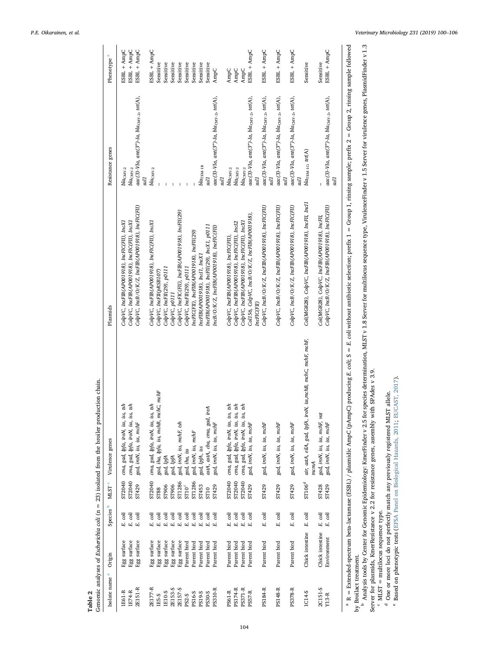<span id="page-4-0"></span>

| Phenotype <sup>e</sup>    | ESBL + AmpC                                                                                                                                                                                   | ESBL + AmpC                                  | ESBL + AmpC                                              | ESBL + AmpC                                  |                                     | Sensitive                             | Sensitive                 | Sensitive     | Sensitive                                        | Sensitive                 | Sensitive                                 | Sensitive                      | Sensitive                                  | AmpC                                                   |     | AmpC                                    | AmpC                                         | AmpC                                         | ESBL + AmpC                                   |                    | ESBL + AmpC                                                                                     | ESBL + AmpC                                            |    | ESBL + AmpC                                          | Sensitive                                                             | Sensitive                                     | ESBL + AmpC                                                 |
|---------------------------|-----------------------------------------------------------------------------------------------------------------------------------------------------------------------------------------------|----------------------------------------------|----------------------------------------------------------|----------------------------------------------|-------------------------------------|---------------------------------------|---------------------------|---------------|--------------------------------------------------|---------------------------|-------------------------------------------|--------------------------------|--------------------------------------------|--------------------------------------------------------|-----|-----------------------------------------|----------------------------------------------|----------------------------------------------|-----------------------------------------------|--------------------|-------------------------------------------------------------------------------------------------|--------------------------------------------------------|----|------------------------------------------------------|-----------------------------------------------------------------------|-----------------------------------------------|-------------------------------------------------------------|
| Resistance genes          | $blaCMY-2$                                                                                                                                                                                    | $blaCMY-2$                                   | aac(3)-VIa, ant(3")-Ia, blacMy-2, tet(A),<br><b>Thrs</b> |                                              | $bla_{\rm CMY-2}$                   |                                       |                           |               |                                                  |                           |                                           | $bla$ TEM-1B                   | IJns                                       | aac(3)-VIa, ant(3")-Ia, blac <sub>MY-2</sub> , tet(A), | Гms | $bla_{\rm CMY-2}$                       | $bla_{\rm CMY-2}$                            | $blaCMY-2$                                   | aac(3)-VIa, ant(3")-Ia, blacMx-2, tet(A),     | Гms                | $\text{aac}(3)$ -VIa, $\text{ant}(3")$ -Ia, $\text{bla}_{\text{CMY-2s}}$ tet(A),<br><b>Lins</b> | aac(3)-VIa, ant(3")-Ia, blac <sub>MY-2</sub> , tet(A), | ZП | $rac{(3)-V1a, art(3")-Ia, blaCMY-2, tet(A),}$<br>Пns | bla <sub>TEM-1</sub> c, tet(A)                                        | $\overline{1}$                                | $rac{(3)-V1a, art(3")-Ia, blaCMY-2, tet(A),}$<br>Ims        |
| Plasmids                  | ColpVC, IncFIB(AP001918), IncFIC(FII), IncX1                                                                                                                                                  | ColpVC, IncFIB(AP001918), IncFIC(FII), IncX1 | CobVC, IncB/O/K/Z, IncFIB(AP001918), IncFIC(FII)         | ColpVC, IncFIB(AP001918), IncFIC(FII), IncX1 |                                     | ColpVC, IncFII(pRSB107)               | ColpVC, IncFII(29), p0111 | ColpVC, p0111 | ColpVC, IncFIC(FII), IncFIB(AP001918), IncFI(29) | ColpVC, IncFII(29), p0111 | IncFIC(FII), IncFIB(AP001918), IncFII(29) | IncFIB(AP001918), IncI1, IncX1 | IncFIB(AP001918), IncFII(29), IncX1, p0111 | IncB/O/K/Z, IncFIB(AP001918), IncFIC(FII)              |     | ColpVC, IncFIB(AP001918), IncFIC(FII),  | ColpVC, IncFIB(AP001918), IncFIC(FII), IncI2 | ColpVC, IncFIB(AP001918), IncFIC(FII), IncX1 | Col156, ColpVC, IncB/O/K/Z, IncFIB(AP001918), | <i>IncFIC(FII)</i> | CobVC, IncB/O/K/Z, IncFIB(AP001918), IncFIC(FII)                                                | CobVC, IncB/O/K/Z, IncFIB(AP001918), IncFIC(FII)       |    | CopVC, IncB/O/K/Z, IncFIB(AP001918), IncFIC(FII)     | Col(MG828), CopVC, IncFIB(AP001918), IncFII, IncI1                    | Col(MG828), ColpVC, IncFIB(AP001918), IncFII, | CobVC, IncB/O/K/Z, IncFIB(AP001918), IncFIC(FII)            |
| Virulence genes           | cma, gad, Ipfa, iroN, iss, iss, tsh                                                                                                                                                           | tsh<br>cma, gad, Ipfa, iroN, iss, iss,       | gad, iroN, iss, iss, mchF                                |                                              | cma, gad, Ipfa, iroN, iss, iss, tsh | gad, iha, Ipfa, iss, mchB, mchC, mchF | gad, IpfA                 | gad, IpfA     | gad, iroN, iss, mchF, tsh                        | gad, iha, iss             | gad, iroN, iss, mchF                      | gad, lpfA, iss                 | ireA<br>astA, astA, cba, cma, gad,         | gad, iroN, iss, iss, mchF                              |     | ish,<br>cma, gad, Ipfa, iroN, iss, iss, | cma, gad, Ipfa, iroN, iss, iss, tsh          | tsh<br>cma, gad, Ipfa, iroN, iss, iss        | gad, iroN, iss, iss, mchF                     |                    | gad, iroN, iss, iss, mchF                                                                       | gad, iroN, iss, iss, mchF                              |    | gad, iroN, iss, iss, mchF                            | air, astA, eilA, gad, IpfA, iroN, iss,mchB, mchC, mchF, mchF,<br>mamA |                                               | gad, iroN, iss, iss, mchF, vat<br>gad, iroN, iss, iss, mchF |
| $\rm MLST$ $^{\rm c}$     | ST2040                                                                                                                                                                                        | ST2040                                       | ST429                                                    | ST2040                                       |                                     | <b>ST88</b>                           | ST906                     | ST906         | ST1286                                           | $\text{ST10}^{\text{d}}$  | ST1286                                    | ST453                          | ST10                                       | ST429                                                  |     | ST2040                                  | ST2040                                       | ST2040                                       | ST429                                         |                    | ST429                                                                                           | ST429                                                  |    | ST429                                                | ST106 <sup>d</sup>                                                    | ST428                                         | ST429                                                       |
| Species <sup>b</sup>      | $\begin{array}{l} \hbox{\scriptsize E} \quad \hbox{\scriptsize coli}\\ \hbox{\scriptsize E} \quad \hbox{\scriptsize coli}\\ \hbox{\scriptsize E} \quad \hbox{\scriptsize coli}\\ \end{array}$ |                                              |                                                          |                                              |                                     |                                       |                           |               |                                                  |                           |                                           |                                |                                            |                                                        |     |                                         |                                              |                                              |                                               |                    | coli<br>E.                                                                                      | coli<br>E,                                             |    | coli<br>E,                                           | $E.$ $coli$                                                           | $E.$ coli                                     | $\it E.~coli$                                               |
| Origin                    | Egg surface                                                                                                                                                                                   |                                              | ${\rm Egg}$ surface ${\rm Egg}$ surface                  |                                              | Egg surface                         | Egg surface                           | Egg surface               |               | ${\rm Egg}$ surface ${\rm Egg}$ surface          | Parent bird               | Parent bird                               | Parent bird                    | Parent bird                                | Parent bird                                            |     | Parent bird                             | Parent bird                                  | Parent bird                                  | Parent bird                                   |                    | Parent bird                                                                                     | Parent bird                                            |    | Parent bird                                          | Chick intestine                                                       | Chick intestine                               | Environment                                                 |
| Isolate name <sup>a</sup> | <b>IE61-R</b>                                                                                                                                                                                 | 1E74-R                                       | 2E151-R                                                  | 2E177-R                                      |                                     | 1E5-S                                 | <b>LE10-S</b>             | 2E153-S       | 2E157-S                                          | PS2-S                     | PS16-S                                    | PS19-S                         | PS30-S                                     | PS310-R                                                |     | PS61-R                                  | PS174-R                                      | PS371-R                                      | <b>PS57-R</b>                                 |                    | PS184-R                                                                                         | PS148-R                                                |    | PS378-R                                              | 1C14-S                                                                | 2C151-S                                       | $Y13-R$                                                     |

Genomic analyses of Escherichia coli  $(n = 23)$  isolated from the broiler production chain. Genomic analyses of Escherichia coli (n = 23) isolated from the broiler production chain. Table 2

<span id="page-4-1"></span> Analysis tools by Center for Genomic Epidemiology: KmerFinder v 2.5 for species determination, MLST v 1.8 Server for multilocus sequence type, VirulenceFinder v 1.5 Server for virulence genes, PlasmidFinder v 1.3 ő Ļ, Ĺ, ì, Ĺ, Ļ by Broilact treatment. by Broilact treatment.

<span id="page-4-5"></span><span id="page-4-4"></span><span id="page-4-3"></span><span id="page-4-2"></span> $^{\rm b}$  Analysis tools by Center for Genomic Epidemiology: KmerFinder v 2.5 for species determination, MLST v 1.8 Server for multilocus sequence type, VirulenceFinder v 1.5 Server for virulence genes, PlasmidFinder v 1.3<br> Server for plasmids, KmerResistance v 2.2 for resistance genes, assembly with SPAdes v 3.9.

 $^{\rm c}$  MLST = multilocus sequence type. MLST = multilocus sequence type.

de One or more loci do not perfectly match any previously registered MLST allele. Based on phenotypic tests (EFSA Panel on [Biological](#page-5-19) Hazards, 2011; [EUCAST,](#page-5-10) 2017).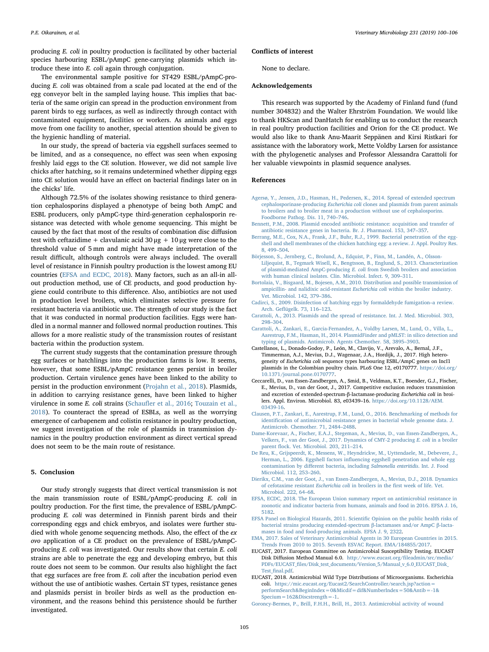producing E. coli in poultry production is facilitated by other bacterial species harbouring ESBL/pAmpC gene-carrying plasmids which introduce these into E. coli again through conjugation.

The environmental sample positive for ST429 ESBL/pAmpC-producing E. coli was obtained from a scale pad located at the end of the egg conveyor belt in the sampled laying house. This implies that bacteria of the same origin can spread in the production environment from parent birds to egg surfaces, as well as indirectly through contact with contaminated equipment, facilities or workers. As animals and eggs move from one facility to another, special attention should be given to the hygienic handling of material.

In our study, the spread of bacteria via eggshell surfaces seemed to be limited, and as a consequence, no effect was seen when exposing freshly laid eggs to the CE solution. However, we did not sample live chicks after hatching, so it remains undetermined whether dipping eggs into CE solution would have an effect on bacterial findings later on in the chicks' life.

Although 72.5% of the isolates showing resistance to third generation cephalosporins displayed a phenotype of being both AmpC and ESBL producers, only pAmpC-type third-generation cephalosporin resistance was detected with whole genome sequencing. This might be caused by the fact that most of the results of combination disc diffusion test with ceftazidime + clavulanic acid  $30 \mu$ g + 10 μg were close to the threshold value of 5 mm and might have made interpretation of the result difficult, although controls were always included. The overall level of resistance in Finnish poultry production is the lowest among EU countries ([EFSA and ECDC, 2018](#page-5-7)). Many factors, such as an all-in allout production method, use of CE products, and good production hygiene could contribute to this difference. Also, antibiotics are not used in production level broilers, which eliminates selective pressure for resistant bacteria via antibiotic use. The strength of our study is the fact that it was conducted in normal production facilities. Eggs were handled in a normal manner and followed normal production routines. This allows for a more realistic study of the transmission routes of resistant bacteria within the production system.

The current study suggests that the contamination pressure through egg surfaces or hatchlings into the production farms is low. It seems, however, that some ESBL/pAmpC resistance genes persist in broiler production. Certain virulence genes have been linked to the ability to persist in the production environment [\(Projahn et al., 2018\)](#page-6-18). Plasmids, in addition to carrying resistance genes, have been linked to higher virulence in some E. coli strains (Schaufl[er et al., 2016;](#page-6-25) [Touzain et al.,](#page-6-24) [2018\)](#page-6-24). To counteract the spread of ESBLs, as well as the worrying emergence of carbapenem and colistin resistance in poultry production, we suggest investigation of the role of plasmids in transmission dynamics in the poultry production environment as direct vertical spread does not seem to be the main route of resistance.

#### 5. Conclusion

Our study strongly suggests that direct vertical transmission is not the main transmission route of ESBL/pAmpC-producing E. coli in poultry production. For the first time, the prevalence of ESBL/pAmpCproducing E. coli was determined in Finnish parent birds and their corresponding eggs and chick embryos, and isolates were further studied with whole genome sequencing methods. Also, the effect of the ex ovo application of a CE product on the prevalence of ESBL/pAmpCproducing E. coli was investigated. Our results show that certain E. coli strains are able to penetrate the egg and developing embryo, but this route does not seem to be common. Our results also highlight the fact that egg surfaces are free from  $E$ . coli after the incubation period even without the use of antibiotic washes. Certain ST types, resistance genes and plasmids persist in broiler birds as well as the production environment, and the reasons behind this persistence should be further investigated.

#### Conflicts of interest

None to declare.

#### Acknowledgements

This research was supported by the Academy of Finland fund (fund number 304832) and the Walter Ehrström Foundation. We would like to thank HKScan and DanHatch for enabling us to conduct the research in real poultry production facilities and Orion for the CE product. We would also like to thank Anu-Maarit Seppänen and Kirsi Ristkari for assistance with the laboratory work, Mette Voldby Larsen for assistance with the phylogenetic analyses and Professor Alessandra Carattoli for her valuable viewpoints in plasmid sequence analyses.

# References

- <span id="page-5-1"></span>[Agersø, Y., Jensen, J.D., Hasman, H., Pedersen, K., 2014. Spread of extended spectrum](http://refhub.elsevier.com/S0378-1135(18)31284-7/sbref0005) cephalosporinase-producing Escherichia coli [clones and plasmids from parent animals](http://refhub.elsevier.com/S0378-1135(18)31284-7/sbref0005) [to broilers and to broiler meat in a production without use of cephalosporins.](http://refhub.elsevier.com/S0378-1135(18)31284-7/sbref0005) [Foodborne Pathog. Dis. 11, 740](http://refhub.elsevier.com/S0378-1135(18)31284-7/sbref0005)–746.
- <span id="page-5-3"></span>[Bennett, P.M., 2008. Plasmid encoded antibiotic resistance: acquisition and transfer of](http://refhub.elsevier.com/S0378-1135(18)31284-7/sbref0010) [antibiotic resistance genes in bacteria. Br. J. Pharmacol. 153, 347](http://refhub.elsevier.com/S0378-1135(18)31284-7/sbref0010)–357.
- <span id="page-5-15"></span>[Berrang, M.E., Cox, N.A., Frank, J.F., Buhr, R.J., 1999. Bacterial penetration of the egg](http://refhub.elsevier.com/S0378-1135(18)31284-7/sbref0015)[shell and shell membranes of the chicken hatching egg: a review. J. Appl. Poultry Res.](http://refhub.elsevier.com/S0378-1135(18)31284-7/sbref0015) [8, 499](http://refhub.elsevier.com/S0378-1135(18)31284-7/sbref0015)–504.
- <span id="page-5-4"></span>[Börjesson, S., Jernberg, C., Brolund, A., Edquist, P., Finn, M., Landén, A., Olsson-](http://refhub.elsevier.com/S0378-1135(18)31284-7/sbref0020)[Liljequist, B., Tegmark Wisell, K., Bengtsson, B., Englund, S., 2013. Characterization](http://refhub.elsevier.com/S0378-1135(18)31284-7/sbref0020) of plasmid-mediated AmpC-producing E. coli [from Swedish broilers and association](http://refhub.elsevier.com/S0378-1135(18)31284-7/sbref0020) [with human clinical isolates. Clin. Microbiol. Infect. 9, 309](http://refhub.elsevier.com/S0378-1135(18)31284-7/sbref0020)–311.
- <span id="page-5-0"></span>[Bortolaia, V., Bisgaard, M., Bojesen, A.M., 2010. Distribution and possible transmission of](http://refhub.elsevier.com/S0378-1135(18)31284-7/sbref0025) [ampicillin- and nalidixic acid-resistant](http://refhub.elsevier.com/S0378-1135(18)31284-7/sbref0025) Escherichia coli within the broiler industry. [Vet. Microbiol. 142, 379](http://refhub.elsevier.com/S0378-1135(18)31284-7/sbref0025)–386.
- <span id="page-5-16"></span>[Cadirci, S., 2009. Disinfection of hatching eggs by formaldehyde fumigation](http://refhub.elsevier.com/S0378-1135(18)31284-7/sbref0030)–a review. Arch. Gefl[ügelk. 73, 116](http://refhub.elsevier.com/S0378-1135(18)31284-7/sbref0030)–123.
- <span id="page-5-2"></span>[Carattoli, A., 2013. Plasmids and the spread of resistance. Int. J. Med. Microbiol. 303,](http://refhub.elsevier.com/S0378-1135(18)31284-7/sbref0035) 298–[304](http://refhub.elsevier.com/S0378-1135(18)31284-7/sbref0035).
- <span id="page-5-13"></span>[Carattoli, A., Zankari, E., Garcia-Fernandez, A., Voldby Larsen, M., Lund, O., Villa, L.,](http://refhub.elsevier.com/S0378-1135(18)31284-7/sbref0040) [Aarestrup, F.M., Hasman, H., 2014. PlasmidFinder and pMLST: in silico detection and](http://refhub.elsevier.com/S0378-1135(18)31284-7/sbref0040) [typing of plasmids. Antimicrob. Agents Chemother. 58, 3895](http://refhub.elsevier.com/S0378-1135(18)31284-7/sbref0040)–3903.
- <span id="page-5-6"></span>Castellanos, L., Donado-Godoy, P., León, M., Clavijo, V., Arevalo, A., Bernal, J.F., Timmerman, A.J., Mevius, D.J., Wagenaar, J.A., Hordijk, J., 2017. High heterogeneity of Escherichia coli sequence types harbouring ESBL/AmpC genes on IncI1 plasmids in the Colombian poultry chain. PLoS One 12, e0170777. [https://doi.org/](https://doi.org/10.1371/journal.pone.0170777) [10.1371/journal.pone.0170777.](https://doi.org/10.1371/journal.pone.0170777)
- <span id="page-5-9"></span>Ceccarelli, D., van Essen-Zandbergen, A., Smid, B., Veldman, K.T., Boender, G.J., Fischer, E., Mevius, D., van der Goot, J., 2017. Competitive exclusion reduces transmission and excretion of extended-spectrum-β-lactamase-producing Escherichia coli in broilers. Appl. Environ. Microbiol. 83, e03439–16. [https://doi.org/10.1128/AEM.](https://doi.org/10.1128/AEM.03439-16) [03439-16.](https://doi.org/10.1128/AEM.03439-16)
- <span id="page-5-12"></span>[Clausen, P.T., Zankari, E., Aarestrup, F.M., Lund, O., 2016. Benchmarking of methods for](http://refhub.elsevier.com/S0378-1135(18)31284-7/sbref0055) identifi[cation of antimicrobial resistance genes in bacterial whole genome data. J.](http://refhub.elsevier.com/S0378-1135(18)31284-7/sbref0055) [Antimicrob. Chemother. 71, 2484](http://refhub.elsevier.com/S0378-1135(18)31284-7/sbref0055)–2488.
- <span id="page-5-18"></span>[Dame-Korevaar, A., Fischer, E.A.J., Stegeman, A., Mevius, D., van Essen-Zandbergen, A.,](http://refhub.elsevier.com/S0378-1135(18)31284-7/sbref0060) [Velkers, F., van der Goot, J., 2017. Dynamics of CMY-2 producing](http://refhub.elsevier.com/S0378-1135(18)31284-7/sbref0060) E. coli in a broiler parent fl[ock. Vet. Microbiol. 203, 211](http://refhub.elsevier.com/S0378-1135(18)31284-7/sbref0060)–214.
- <span id="page-5-5"></span>[De Reu, K., Grijspeerdt, K., Messens, W., Heyndrickw, M., Uyttendaele, M., Debevere, J.,](http://refhub.elsevier.com/S0378-1135(18)31284-7/sbref0065) Herman, L., 2006. Eggshell factors infl[uencing eggshell penetration and whole egg](http://refhub.elsevier.com/S0378-1135(18)31284-7/sbref0065) contamination by different bacteria, including [Salmonella enteritidis](http://refhub.elsevier.com/S0378-1135(18)31284-7/sbref0065). Int. J. Food [Microbiol. 112, 253](http://refhub.elsevier.com/S0378-1135(18)31284-7/sbref0065)–260.
- <span id="page-5-14"></span>[Dierikx, C.M., van der Goot, J., van Essen-Zandbergen, A., Mevius, D.J., 2018. Dynamics](http://refhub.elsevier.com/S0378-1135(18)31284-7/sbref0070) [of cefotaxime resistant](http://refhub.elsevier.com/S0378-1135(18)31284-7/sbref0070) Escherichia coli in broilers in the first week of life. Vet. [Microbiol. 222, 64](http://refhub.elsevier.com/S0378-1135(18)31284-7/sbref0070)–68.
- <span id="page-5-7"></span>[EFSA, ECDC, 2018. The European Union summary report on antimicrobial resistance in](http://refhub.elsevier.com/S0378-1135(18)31284-7/sbref0075) [zoonotic and indicator bacteria from humans, animals and food in 2016. EFSA J. 16,](http://refhub.elsevier.com/S0378-1135(18)31284-7/sbref0075) [5182.](http://refhub.elsevier.com/S0378-1135(18)31284-7/sbref0075)
- <span id="page-5-19"></span>[EFSA Panel on Biological Hazards, 2011. Scienti](http://refhub.elsevier.com/S0378-1135(18)31284-7/sbref0080)fic Opinion on the public health risks of [bacterial strains producing extended-spectrum](http://refhub.elsevier.com/S0378-1135(18)31284-7/sbref0080) β-lactamases and/or AmpC β-lacta[mases in food and food-producing animals. EFSA J. 9, 2322](http://refhub.elsevier.com/S0378-1135(18)31284-7/sbref0080).
- <span id="page-5-8"></span>[EMA, 2017. Sales of Veterinary Antimicrobial Agents in 30 European Countries in 2015.](http://refhub.elsevier.com/S0378-1135(18)31284-7/sbref0085) [Trends From 2010 to 2015. Seventh ESVAC Report. EMA/184855/2017](http://refhub.elsevier.com/S0378-1135(18)31284-7/sbref0085).
- <span id="page-5-10"></span>EUCAST, 2017. European Committee on Antimicrobial Susceptibility Testing. EUCAST Disk Diffusion Method Manual 6.0. [http://www.eucast.org/](http://www.eucast.org/fileadmin/src/media/PDFs/EUCAST_files/Disk_test_documents/Version_5/Manual_v_6.0_EUCAST_Disk_Test_final.pdf)fileadmin/src/media/ PDFs/EUCAST\_fi[les/Disk\\_test\\_documents/Version\\_5/Manual\\_v\\_6.0\\_EUCAST\\_Disk\\_](http://www.eucast.org/fileadmin/src/media/PDFs/EUCAST_files/Disk_test_documents/Version_5/Manual_v_6.0_EUCAST_Disk_Test_final.pdf) Test fi[nal.pdf](http://www.eucast.org/fileadmin/src/media/PDFs/EUCAST_files/Disk_test_documents/Version_5/Manual_v_6.0_EUCAST_Disk_Test_final.pdf).
- <span id="page-5-11"></span>EUCAST, 2018. Antimicrobial Wild Type Distributions of Microorganisms. Escherichia coli. [https://mic.eucast.org/Eucast2/SearchController/search.jsp?action=](https://mic.eucast.org/Eucast2/SearchController/search.jsp?action=performSearch%26BeginIndex=0%26Micdif=dif%26NumberIndex=50%26Antib=-1%26Specium=162%26Discstrength=-1) [performSearch&BeginIndex=0&Micdif=dif&NumberIndex=50&Antib=-1&](https://mic.eucast.org/Eucast2/SearchController/search.jsp?action=performSearch%26BeginIndex=0%26Micdif=dif%26NumberIndex=50%26Antib=-1%26Specium=162%26Discstrength=-1) [Specium=162&Discstrength=-1](https://mic.eucast.org/Eucast2/SearchController/search.jsp?action=performSearch%26BeginIndex=0%26Micdif=dif%26NumberIndex=50%26Antib=-1%26Specium=162%26Discstrength=-1).
- <span id="page-5-17"></span>[Goroncy-Bermes, P., Brill, F.H.H., Brill, H., 2013. Antimicrobial activity of wound](http://refhub.elsevier.com/S0378-1135(18)31284-7/sbref0100)